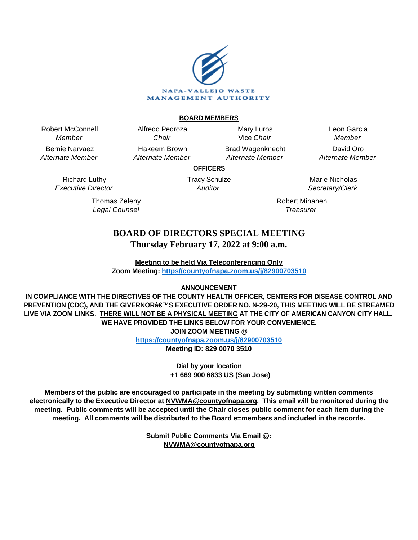

#### **BOARD MEMBERS**

Robert McConnell Member Bernie Narvaez Alternate Member

Chair Hakeem Brown Alternate Member

Alfredo Pedroza

Mary Luros Vice Chair Brad Wagenknecht Alternate Member

Leon Garcia Member David Oro Alternate Member

**OFFICERS**

Tracy Schulze Auditor

Marie Nicholas Secretary/Clerk

Robert Minahen **Treasurer** 

# **BOARD OF DIRECTORS SPECIAL MEETING Thursday February 17, 2022 at 9:00 a.m.**

**Meeting to be held Via Teleconferencing Only Zoom Meeting: [https//countyofnapa.zoom.us/j/82900703510](https://webapps/AgendaNet/Reports/https//countyofnapa.zoom.us/j/99111938225)**

## **ANNOUNCEMENT**

**IN COMPLIANCE WITH THE DIRECTIVES OF THE COUNTY HEALTH OFFICER, CENTERS FOR DISEASE CONTROL AND PREVENTION (CDC), AND THE GIVERNOR'S EXECUTIVE ORDER NO. N-29-20, THIS MEETING WILL BE STREAMED LIVE VIA ZOOM LINKS. THERE WILL NOT BE A PHYSICAL MEETING AT THE CITY OF AMERICAN CANYON CITY HALL. WE HAVE PROVIDED THE LINKS BELOW FOR YOUR CONVENIENCE. JOIN ZOOM MEETING @**

**<https://countyofnapa.zoom.us/j/82900703510>**

**Meeting ID: 829 0070 3510**

**Dial by your location +1 669 900 6833 US (San Jose)**

**Members of the public are encouraged to participate in the meeting by submitting written comments electronically to the Executive Director at NVWMA@countyofnapa.org. This email will be monitored during the meeting. Public comments will be accepted until the Chair closes public comment for each item during the meeting. All comments will be distributed to the Board e=members and included in the records.**

> **Submit Public Comments Via Email @: NVWMA@countyofnapa.org**

Richard Luthy Executive Director

Thomas Zeleny Legal Counsel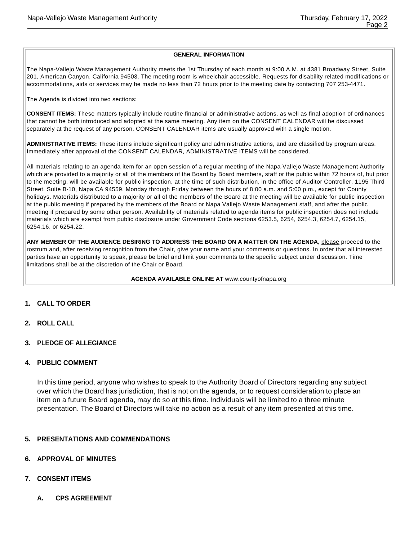#### **GENERAL INFORMATION**

The Napa-Vallejo Waste Management Authority meets the 1st Thursday of each month at 9:00 A.M. at 4381 Broadway Street, Suite 201, American Canyon, California 94503. The meeting room is wheelchair accessible. Requests for disability related modifications or accommodations, aids or services may be made no less than 72 hours prior to the meeting date by contacting 707 253-4471.

The Agenda is divided into two sections:

**CONSENT ITEMS:** These matters typically include routine financial or administrative actions, as well as final adoption of ordinances that cannot be both introduced and adopted at the same meeting. Any item on the CONSENT CALENDAR will be discussed separately at the request of any person. CONSENT CALENDAR items are usually approved with a single motion.

**ADMINISTRATIVE ITEMS:** These items include significant policy and administrative actions, and are classified by program areas. Immediately after approval of the CONSENT CALENDAR, ADMINISTRATIVE ITEMS will be considered.

All materials relating to an agenda item for an open session of a regular meeting of the Napa-Vallejo Waste Management Authority which are provided to a majority or all of the members of the Board by Board members, staff or the public within 72 hours of, but prior to the meeting, will be available for public inspection, at the time of such distribution, in the office of Auditor Controller, 1195 Third Street, Suite B-10, Napa CA 94559, Monday through Friday between the hours of 8:00 a.m. and 5:00 p.m., except for County holidays. Materials distributed to a majority or all of the members of the Board at the meeting will be available for public inspection at the public meeting if prepared by the members of the Board or Napa Vallejo Waste Management staff, and after the public meeting if prepared by some other person. Availability of materials related to agenda items for public inspection does not include materials which are exempt from public disclosure under Government Code sections 6253.5, 6254, 6254.3, 6254.7, 6254.15, 6254.16, or 6254.22.

**ANY MEMBER OF THE AUDIENCE DESIRING TO ADDRESS THE BOARD ON A MATTER ON THE AGENDA**, please proceed to the rostrum and, after receiving recognition from the Chair, give your name and your comments or questions. In order that all interested parties have an opportunity to speak, please be brief and limit your comments to the specific subject under discussion. Time limitations shall be at the discretion of the Chair or Board.

**AGENDA AVAILABLE ONLINE AT** www.countyofnapa.org

- **1. CALL TO ORDER**
- **2. ROLL CALL**
- **3. PLEDGE OF ALLEGIANCE**

#### **4. PUBLIC COMMENT**

In this time period, anyone who wishes to speak to the Authority Board of Directors regarding any subject over which the Board has jurisdiction, that is not on the agenda, or to request consideration to place an item on a future Board agenda, may do so at this time. Individuals will be limited to a three minute presentation. The Board of Directors will take no action as a result of any item presented at this time.

## **5. PRESENTATIONS AND COMMENDATIONS**

#### **6. APPROVAL OF MINUTES**

- **7. CONSENT ITEMS**
	- **A. CPS AGREEMENT**